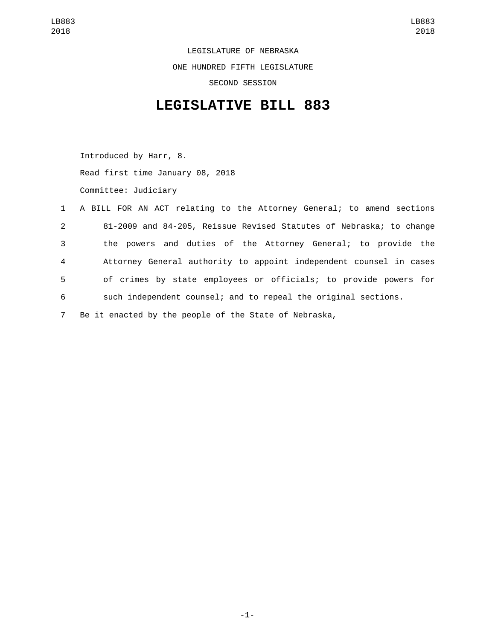LEGISLATURE OF NEBRASKA ONE HUNDRED FIFTH LEGISLATURE SECOND SESSION

## **LEGISLATIVE BILL 883**

Introduced by Harr, 8. Read first time January 08, 2018 Committee: Judiciary

|                | 1 A BILL FOR AN ACT relating to the Attorney General; to amend sections |
|----------------|-------------------------------------------------------------------------|
| $2^{\circ}$    | 81-2009 and 84-205, Reissue Revised Statutes of Nebraska; to change     |
| 3 <sup>1</sup> | the powers and duties of the Attorney General; to provide the           |
| $\overline{4}$ | Attorney General authority to appoint independent counsel in cases      |
| 5              | of crimes by state employees or officials; to provide powers for        |
| 6              | such independent counsel; and to repeal the original sections.          |
| $7^{\circ}$    | Be it enacted by the people of the State of Nebraska,                   |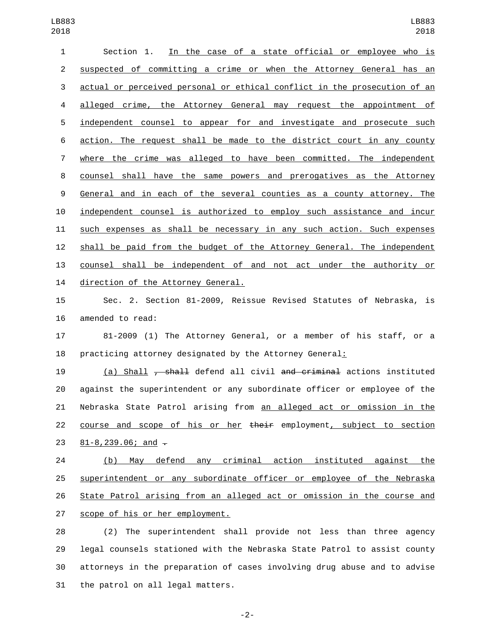| 1              | In the case of a state official or employee who is<br>Section 1.          |
|----------------|---------------------------------------------------------------------------|
| $\overline{2}$ | suspected of committing a crime or when the Attorney General has an       |
| 3              | actual or perceived personal or ethical conflict in the prosecution of an |
| 4              | alleged crime, the Attorney General may request the appointment of        |
| 5              | independent counsel to appear for and investigate and prosecute such      |
| 6              | action. The request shall be made to the district court in any county     |
| $\overline{7}$ | where the crime was alleged to have been committed. The independent       |
| 8              | counsel shall have the same powers and prerogatives as the Attorney       |
| 9              | General and in each of the several counties as a county attorney. The     |
| 10             | independent counsel is authorized to employ such assistance and incur     |
| 11             | such expenses as shall be necessary in any such action. Such expenses     |
| 12             | shall be paid from the budget of the Attorney General. The independent    |
| 13             | counsel shall be independent of and not act under the authority or        |
| 14             | direction of the Attorney General.                                        |

 Sec. 2. Section 81-2009, Reissue Revised Statutes of Nebraska, is 16 amended to read:

 81-2009 (1) The Attorney General, or a member of his staff, or a 18 practicing attorney designated by the Attorney General:

 (a) Shall , shall defend all civil and criminal actions instituted against the superintendent or any subordinate officer or employee of the 21 Nebraska State Patrol arising from an alleged act or omission in the 22 course and scope of his or her their employment, subject to section 23  $81 - 8,239.06$ ; and  $\overline{z}$ 

 (b) May defend any criminal action instituted against the superintendent or any subordinate officer or employee of the Nebraska State Patrol arising from an alleged act or omission in the course and 27 scope of his or her employment.

 (2) The superintendent shall provide not less than three agency legal counsels stationed with the Nebraska State Patrol to assist county attorneys in the preparation of cases involving drug abuse and to advise 31 the patrol on all legal matters.

-2-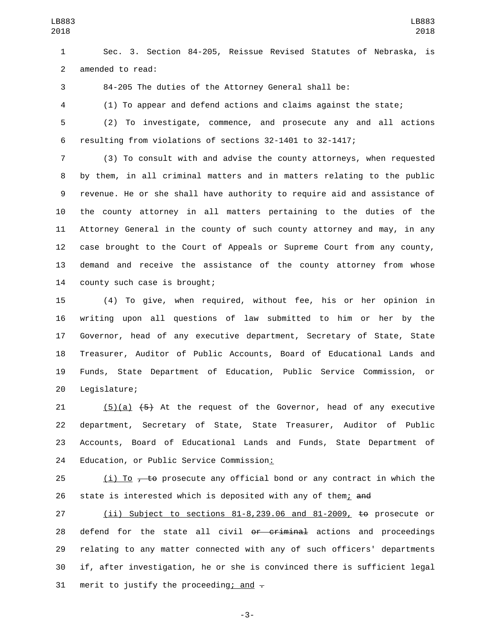Sec. 3. Section 84-205, Reissue Revised Statutes of Nebraska, is 2 amended to read:

84-205 The duties of the Attorney General shall be:

(1) To appear and defend actions and claims against the state;

 (2) To investigate, commence, and prosecute any and all actions resulting from violations of sections 32-1401 to 32-1417;

 (3) To consult with and advise the county attorneys, when requested by them, in all criminal matters and in matters relating to the public revenue. He or she shall have authority to require aid and assistance of the county attorney in all matters pertaining to the duties of the Attorney General in the county of such county attorney and may, in any case brought to the Court of Appeals or Supreme Court from any county, demand and receive the assistance of the county attorney from whose 14 county such case is brought;

 (4) To give, when required, without fee, his or her opinion in writing upon all questions of law submitted to him or her by the Governor, head of any executive department, Secretary of State, State Treasurer, Auditor of Public Accounts, Board of Educational Lands and Funds, State Department of Education, Public Service Commission, or 20 Legislature;

 $(5)(a)$   $(45)$  At the request of the Governor, head of any executive department, Secretary of State, State Treasurer, Auditor of Public Accounts, Board of Educational Lands and Funds, State Department of 24 Education, or Public Service Commission:

25 (i) To  $\tau$  to prosecute any official bond or any contract in which the 26 state is interested which is deposited with any of them; and

 (ii) Subject to sections 81-8,239.06 and 81-2009, to prosecute or 28 defend for the state all civil or criminal actions and proceedings relating to any matter connected with any of such officers' departments if, after investigation, he or she is convinced there is sufficient legal 31 merit to justify the proceeding; and  $\overline{z}$ 

-3-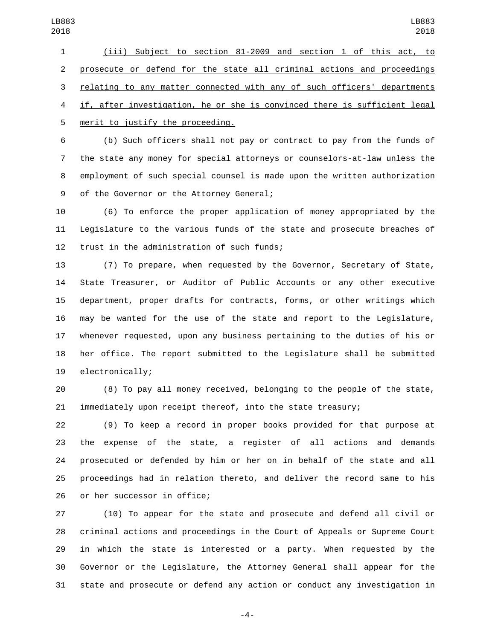(iii) Subject to section 81-2009 and section 1 of this act, to prosecute or defend for the state all criminal actions and proceedings relating to any matter connected with any of such officers' departments if, after investigation, he or she is convinced there is sufficient legal 5 merit to justify the proceeding.

 (b) Such officers shall not pay or contract to pay from the funds of the state any money for special attorneys or counselors-at-law unless the employment of such special counsel is made upon the written authorization 9 of the Governor or the Attorney General;

 (6) To enforce the proper application of money appropriated by the Legislature to the various funds of the state and prosecute breaches of 12 trust in the administration of such funds;

 (7) To prepare, when requested by the Governor, Secretary of State, State Treasurer, or Auditor of Public Accounts or any other executive department, proper drafts for contracts, forms, or other writings which may be wanted for the use of the state and report to the Legislature, whenever requested, upon any business pertaining to the duties of his or her office. The report submitted to the Legislature shall be submitted 19 electronically;

 (8) To pay all money received, belonging to the people of the state, immediately upon receipt thereof, into the state treasury;

 (9) To keep a record in proper books provided for that purpose at the expense of the state, a register of all actions and demands 24 prosecuted or defended by him or her on  $\pm$ n behalf of the state and all proceedings had in relation thereto, and deliver the record same to his 26 or her successor in office;

 (10) To appear for the state and prosecute and defend all civil or criminal actions and proceedings in the Court of Appeals or Supreme Court in which the state is interested or a party. When requested by the Governor or the Legislature, the Attorney General shall appear for the state and prosecute or defend any action or conduct any investigation in

-4-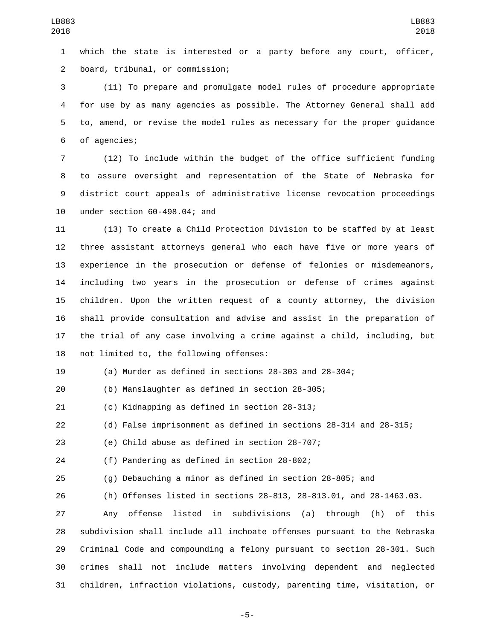which the state is interested or a party before any court, officer, board, tribunal, or commission;2

 (11) To prepare and promulgate model rules of procedure appropriate for use by as many agencies as possible. The Attorney General shall add to, amend, or revise the model rules as necessary for the proper guidance 6 of agencies;

 (12) To include within the budget of the office sufficient funding to assure oversight and representation of the State of Nebraska for district court appeals of administrative license revocation proceedings 10 under section 60-498.04; and

 (13) To create a Child Protection Division to be staffed by at least three assistant attorneys general who each have five or more years of experience in the prosecution or defense of felonies or misdemeanors, including two years in the prosecution or defense of crimes against children. Upon the written request of a county attorney, the division shall provide consultation and advise and assist in the preparation of the trial of any case involving a crime against a child, including, but 18 not limited to, the following offenses:

(a) Murder as defined in sections 28-303 and 28-304;

(b) Manslaughter as defined in section 28-305;

21 (c) Kidnapping as defined in section 28-313;

(d) False imprisonment as defined in sections 28-314 and 28-315;

(e) Child abuse as defined in section 28-707;

24 (f) Pandering as defined in section 28-802;

(g) Debauching a minor as defined in section 28-805; and

(h) Offenses listed in sections 28-813, 28-813.01, and 28-1463.03.

 Any offense listed in subdivisions (a) through (h) of this subdivision shall include all inchoate offenses pursuant to the Nebraska Criminal Code and compounding a felony pursuant to section 28-301. Such crimes shall not include matters involving dependent and neglected children, infraction violations, custody, parenting time, visitation, or

-5-